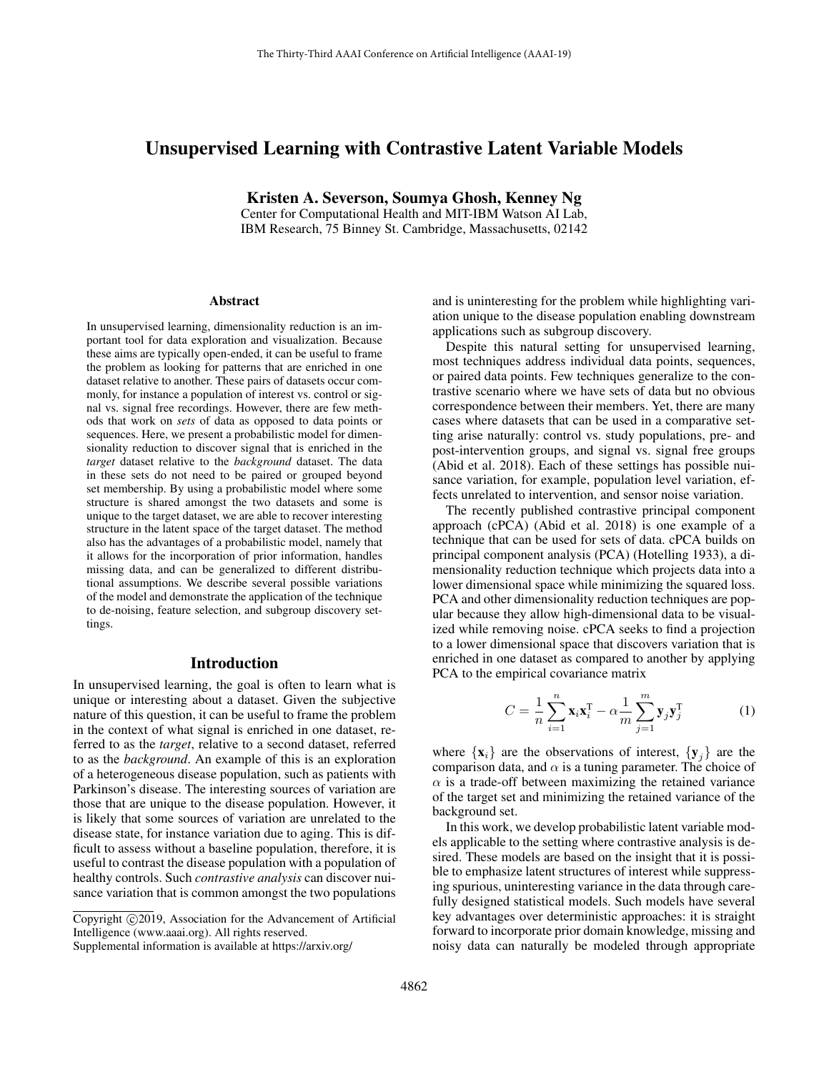# Unsupervised Learning with Contrastive Latent Variable Models

Kristen A. Severson, Soumya Ghosh, Kenney Ng Center for Computational Health and MIT-IBM Watson AI Lab, IBM Research, 75 Binney St. Cambridge, Massachusetts, 02142

#### Abstract

In unsupervised learning, dimensionality reduction is an important tool for data exploration and visualization. Because these aims are typically open-ended, it can be useful to frame the problem as looking for patterns that are enriched in one dataset relative to another. These pairs of datasets occur commonly, for instance a population of interest vs. control or signal vs. signal free recordings. However, there are few methods that work on *sets* of data as opposed to data points or sequences. Here, we present a probabilistic model for dimensionality reduction to discover signal that is enriched in the *target* dataset relative to the *background* dataset. The data in these sets do not need to be paired or grouped beyond set membership. By using a probabilistic model where some structure is shared amongst the two datasets and some is unique to the target dataset, we are able to recover interesting structure in the latent space of the target dataset. The method also has the advantages of a probabilistic model, namely that it allows for the incorporation of prior information, handles missing data, and can be generalized to different distributional assumptions. We describe several possible variations of the model and demonstrate the application of the technique to de-noising, feature selection, and subgroup discovery settings.

### Introduction

In unsupervised learning, the goal is often to learn what is unique or interesting about a dataset. Given the subjective nature of this question, it can be useful to frame the problem in the context of what signal is enriched in one dataset, referred to as the *target*, relative to a second dataset, referred to as the *background*. An example of this is an exploration of a heterogeneous disease population, such as patients with Parkinson's disease. The interesting sources of variation are those that are unique to the disease population. However, it is likely that some sources of variation are unrelated to the disease state, for instance variation due to aging. This is difficult to assess without a baseline population, therefore, it is useful to contrast the disease population with a population of healthy controls. Such *contrastive analysis* can discover nuisance variation that is common amongst the two populations

and is uninteresting for the problem while highlighting variation unique to the disease population enabling downstream applications such as subgroup discovery.

Despite this natural setting for unsupervised learning, most techniques address individual data points, sequences, or paired data points. Few techniques generalize to the contrastive scenario where we have sets of data but no obvious correspondence between their members. Yet, there are many cases where datasets that can be used in a comparative setting arise naturally: control vs. study populations, pre- and post-intervention groups, and signal vs. signal free groups (Abid et al. 2018). Each of these settings has possible nuisance variation, for example, population level variation, effects unrelated to intervention, and sensor noise variation.

The recently published contrastive principal component approach (cPCA) (Abid et al. 2018) is one example of a technique that can be used for sets of data. cPCA builds on principal component analysis (PCA) (Hotelling 1933), a dimensionality reduction technique which projects data into a lower dimensional space while minimizing the squared loss. PCA and other dimensionality reduction techniques are popular because they allow high-dimensional data to be visualized while removing noise. cPCA seeks to find a projection to a lower dimensional space that discovers variation that is enriched in one dataset as compared to another by applying PCA to the empirical covariance matrix

$$
C = \frac{1}{n} \sum_{i=1}^{n} \mathbf{x}_i \mathbf{x}_i^{\mathrm{T}} - \alpha \frac{1}{m} \sum_{j=1}^{m} \mathbf{y}_j \mathbf{y}_j^{\mathrm{T}}
$$
(1)

where  $\{x_i\}$  are the observations of interest,  $\{y_j\}$  are the comparison data, and  $\alpha$  is a tuning parameter. The choice of  $\alpha$  is a trade-off between maximizing the retained variance of the target set and minimizing the retained variance of the background set.

In this work, we develop probabilistic latent variable models applicable to the setting where contrastive analysis is desired. These models are based on the insight that it is possible to emphasize latent structures of interest while suppressing spurious, uninteresting variance in the data through carefully designed statistical models. Such models have several key advantages over deterministic approaches: it is straight forward to incorporate prior domain knowledge, missing and noisy data can naturally be modeled through appropriate

Copyright © 2019, Association for the Advancement of Artificial Intelligence (www.aaai.org). All rights reserved. Supplemental information is available at https://arxiv.org/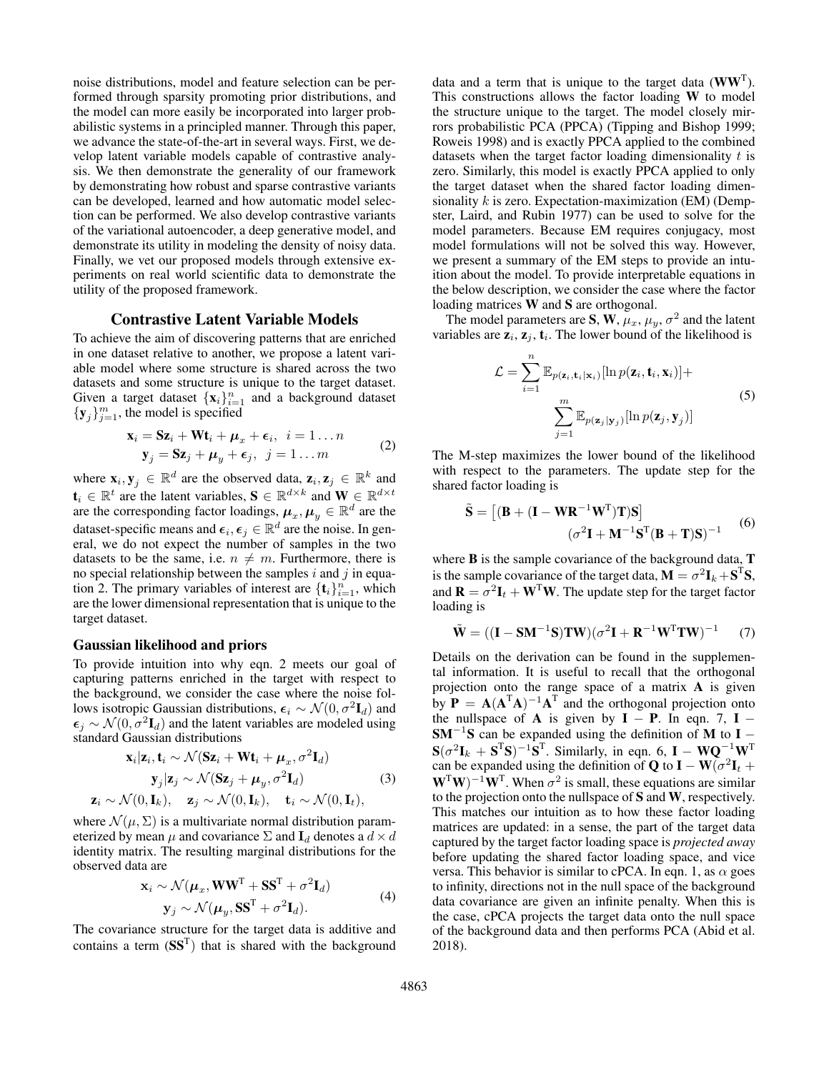noise distributions, model and feature selection can be performed through sparsity promoting prior distributions, and the model can more easily be incorporated into larger probabilistic systems in a principled manner. Through this paper, we advance the state-of-the-art in several ways. First, we develop latent variable models capable of contrastive analysis. We then demonstrate the generality of our framework by demonstrating how robust and sparse contrastive variants can be developed, learned and how automatic model selection can be performed. We also develop contrastive variants of the variational autoencoder, a deep generative model, and demonstrate its utility in modeling the density of noisy data. Finally, we vet our proposed models through extensive experiments on real world scientific data to demonstrate the utility of the proposed framework.

### Contrastive Latent Variable Models

To achieve the aim of discovering patterns that are enriched in one dataset relative to another, we propose a latent variable model where some structure is shared across the two datasets and some structure is unique to the target dataset. Given a target dataset  $\{x_i\}_{i=1}^n$  and a background dataset  ${y_j}_{j=1}^m$ , the model is specified

$$
\mathbf{x}_{i} = \mathbf{S} \mathbf{z}_{i} + \mathbf{W} \mathbf{t}_{i} + \boldsymbol{\mu}_{x} + \boldsymbol{\epsilon}_{i}, \quad i = 1...n
$$
  

$$
\mathbf{y}_{j} = \mathbf{S} \mathbf{z}_{j} + \boldsymbol{\mu}_{y} + \boldsymbol{\epsilon}_{j}, \quad j = 1...m
$$
 (2)

where  $\mathbf{x}_i, \mathbf{y}_j \in \mathbb{R}^d$  are the observed data,  $\mathbf{z}_i, \mathbf{z}_j \in \mathbb{R}^k$  and  $\mathbf{t}_i \in \mathbb{R}^t$  are the latent variables,  $\mathbf{S} \in \mathbb{R}^{d \times k}$  and  $\mathbf{W} \in \mathbb{R}^{d \times t}$ are the corresponding factor loadings,  $\boldsymbol{\mu}_x, \boldsymbol{\mu}_y \in \mathbb{R}^d$  are the dataset-specific means and  $\epsilon_i, \epsilon_j \in \mathbb{R}^d$  are the noise. In general, we do not expect the number of samples in the two datasets to be the same, i.e.  $n \neq m$ . Furthermore, there is no special relationship between the samples  $i$  and  $j$  in equation 2. The primary variables of interest are  $\{\mathbf t_i\}_{i=1}^n$ , which are the lower dimensional representation that is unique to the target dataset.

### Gaussian likelihood and priors

To provide intuition into why eqn. 2 meets our goal of capturing patterns enriched in the target with respect to the background, we consider the case where the noise follows isotropic Gaussian distributions,  $\epsilon_i \sim \mathcal{N}(0, \sigma^2 \mathbf{I}_d)$  and  $\epsilon_j \sim \mathcal{N}(0, \sigma^2 \mathbf{I}_d)$  and the latent variables are modeled using standard Gaussian distributions

$$
\mathbf{x}_i | \mathbf{z}_i, \mathbf{t}_i \sim \mathcal{N}(\mathbf{S} \mathbf{z}_i + \mathbf{W} \mathbf{t}_i + \boldsymbol{\mu}_x, \sigma^2 \mathbf{I}_d)
$$
  
\n
$$
\mathbf{y}_j | \mathbf{z}_j \sim \mathcal{N}(\mathbf{S} \mathbf{z}_j + \boldsymbol{\mu}_y, \sigma^2 \mathbf{I}_d)
$$
  
\n
$$
\mathbf{z}_i \sim \mathcal{N}(0, \mathbf{I}_k), \quad \mathbf{z}_j \sim \mathcal{N}(0, \mathbf{I}_k), \quad \mathbf{t}_i \sim \mathcal{N}(0, \mathbf{I}_t),
$$
 (3)

where  $\mathcal{N}(\mu, \Sigma)$  is a multivariate normal distribution parameterized by mean  $\mu$  and covariance  $\Sigma$  and  $\mathbf{I}_d$  denotes a  $d \times d$ identity matrix. The resulting marginal distributions for the observed data are

$$
\mathbf{x}_{i} \sim \mathcal{N}(\boldsymbol{\mu}_{x}, \mathbf{W}\mathbf{W}^{T} + \mathbf{S}\mathbf{S}^{T} + \sigma^{2}\mathbf{I}_{d})
$$
  
\n
$$
\mathbf{y}_{j} \sim \mathcal{N}(\boldsymbol{\mu}_{y}, \mathbf{S}\mathbf{S}^{T} + \sigma^{2}\mathbf{I}_{d}).
$$
\n(4)

The covariance structure for the target data is additive and contains a term  $(SS<sup>T</sup>)$  that is shared with the background

data and a term that is unique to the target data  $(WW<sup>T</sup>)$ . This constructions allows the factor loading W to model the structure unique to the target. The model closely mirrors probabilistic PCA (PPCA) (Tipping and Bishop 1999; Roweis 1998) and is exactly PPCA applied to the combined datasets when the target factor loading dimensionality  $t$  is zero. Similarly, this model is exactly PPCA applied to only the target dataset when the shared factor loading dimensionality  $k$  is zero. Expectation-maximization (EM) (Dempster, Laird, and Rubin 1977) can be used to solve for the model parameters. Because EM requires conjugacy, most model formulations will not be solved this way. However, we present a summary of the EM steps to provide an intuition about the model. To provide interpretable equations in the below description, we consider the case where the factor loading matrices W and S are orthogonal.

The model parameters are S, W,  $\mu_x$ ,  $\mu_y$ ,  $\sigma^2$  and the latent variables are  $z_i$ ,  $z_j$ ,  $t_i$ . The lower bound of the likelihood is

$$
\mathcal{L} = \sum_{i=1}^{n} \mathbb{E}_{p(\mathbf{z}_i, \mathbf{t}_i | \mathbf{x}_i)} [\ln p(\mathbf{z}_i, \mathbf{t}_i, \mathbf{x}_i)] + \sum_{j=1}^{m} \mathbb{E}_{p(\mathbf{z}_j | \mathbf{y}_j)} [\ln p(\mathbf{z}_j, \mathbf{y}_j)]
$$
\n(5)

The M-step maximizes the lower bound of the likelihood with respect to the parameters. The update step for the shared factor loading is

$$
\tilde{\mathbf{S}} = [(\mathbf{B} + (\mathbf{I} - \mathbf{W}\mathbf{R}^{-1}\mathbf{W}^{\mathrm{T}})\mathbf{T})\mathbf{S}]
$$

$$
(\sigma^2 \mathbf{I} + \mathbf{M}^{-1}\mathbf{S}^{\mathrm{T}}(\mathbf{B} + \mathbf{T})\mathbf{S})^{-1}
$$
(6)

where **B** is the sample covariance of the background data, **T** is the sample covariance of the target data,  $\mathbf{M} = \sigma^2 \mathbf{I}_k + \mathbf{S}^T \mathbf{S}$ , and  $\mathbf{R} = \sigma^2 \mathbf{I}_t + \mathbf{W}^T \mathbf{W}$ . The update step for the target factor loading is

$$
\tilde{\mathbf{W}} = ((\mathbf{I} - \mathbf{S}\mathbf{M}^{-1}\mathbf{S})\mathbf{T}\mathbf{W})(\sigma^2 \mathbf{I} + \mathbf{R}^{-1}\mathbf{W}^{\mathrm{T}}\mathbf{T}\mathbf{W})^{-1} \tag{7}
$$

Details on the derivation can be found in the supplemental information. It is useful to recall that the orthogonal projection onto the range space of a matrix A is given by  $P = A(A^TA)^{-1}A^T$  and the orthogonal projection onto the nullspace of **A** is given by  $I - P$ . In eqn. 7,  $I SM^{-1}S$  can be expanded using the definition of M to I –  $\mathbf{S}(\sigma^2 \mathbf{I}_k + \mathbf{S}^T \mathbf{S})^{-1} \mathbf{S}^T$ . Similarly, in eqn. 6,  $\mathbf{I} - \mathbf{W} \mathbf{Q}^{-1} \mathbf{W}^T$ can be expanded using the definition of **Q** to **I** – **W**( $\sigma^2$ **I**<sub>t</sub> +  $(\mathbf{W}^T \mathbf{W})^{-1} \mathbf{W}^T$ . When  $\sigma^2$  is small, these equations are similar to the projection onto the nullspace of S and W, respectively. This matches our intuition as to how these factor loading matrices are updated: in a sense, the part of the target data captured by the target factor loading space is *projected away* before updating the shared factor loading space, and vice versa. This behavior is similar to cPCA. In eqn. 1, as  $\alpha$  goes to infinity, directions not in the null space of the background data covariance are given an infinite penalty. When this is the case, cPCA projects the target data onto the null space of the background data and then performs PCA (Abid et al. 2018).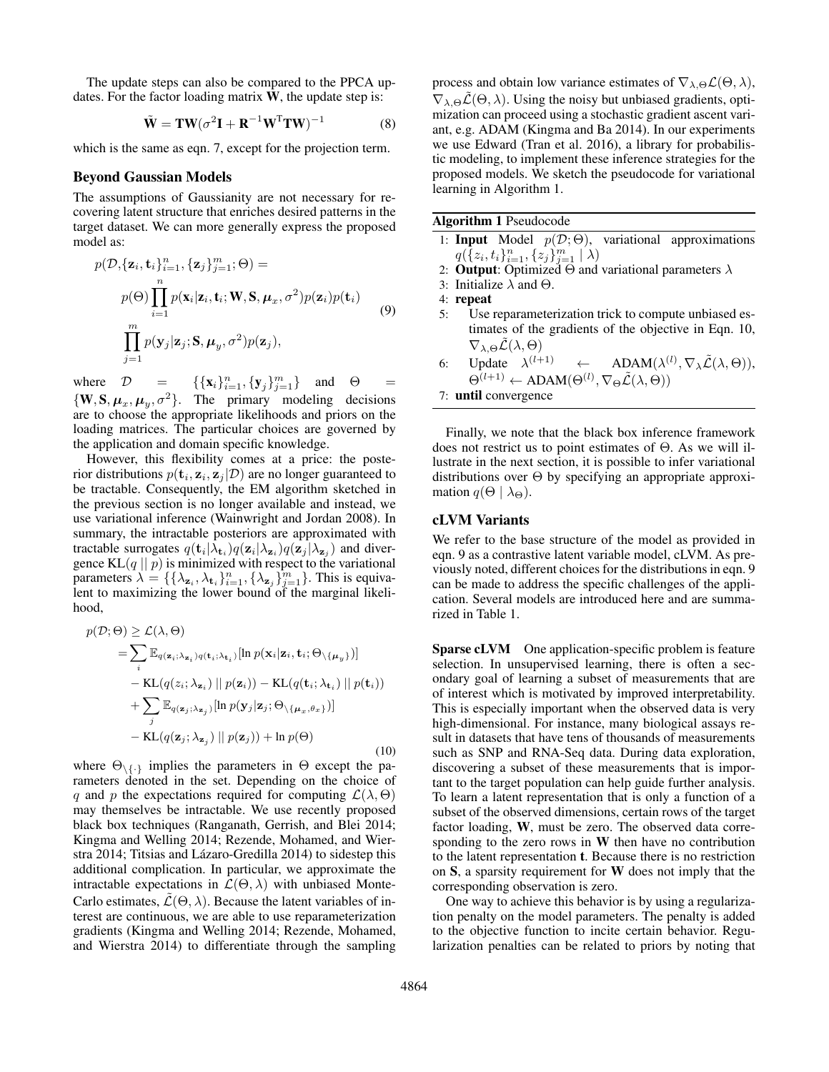The update steps can also be compared to the PPCA updates. For the factor loading matrix  $W$ , the update step is:

$$
\tilde{\mathbf{W}} = \mathbf{T} \mathbf{W} (\sigma^2 \mathbf{I} + \mathbf{R}^{-1} \mathbf{W}^{\mathrm{T}} \mathbf{T} \mathbf{W})^{-1}
$$
 (8)

which is the same as eqn. 7, except for the projection term.

### Beyond Gaussian Models

The assumptions of Gaussianity are not necessary for recovering latent structure that enriches desired patterns in the target dataset. We can more generally express the proposed model as:

$$
p(\mathcal{D}, {\mathbf{z}_i, \mathbf{t}_i}_{i=1}^n, {\mathbf{z}_j}_{j=1}^m; \Theta) =
$$
  
\n
$$
p(\Theta) \prod_{i=1}^n p(\mathbf{x}_i | \mathbf{z}_i, \mathbf{t}_i; \mathbf{W}, \mathbf{S}, \boldsymbol{\mu}_x, \sigma^2) p(\mathbf{z}_i) p(\mathbf{t}_i)
$$
  
\n
$$
\prod_{j=1}^m p(\mathbf{y}_j | \mathbf{z}_j; \mathbf{S}, \boldsymbol{\mu}_y, \sigma^2) p(\mathbf{z}_j),
$$
\n(9)

where  $D = {\{\mathbf{x}_i\}_{i=1}^n, {\{\mathbf{y}_j\}_{j=1}^m\}}$  and  $\Theta =$  $\{W, S, \mu_x, \mu_y, \sigma^2\}$ . The primary modeling decisions are to choose the appropriate likelihoods and priors on the loading matrices. The particular choices are governed by the application and domain specific knowledge.

However, this flexibility comes at a price: the posterior distributions  $p(\mathbf{t}_i, \mathbf{z}_i, \mathbf{z}_j | \mathcal{D})$  are no longer guaranteed to be tractable. Consequently, the EM algorithm sketched in the previous section is no longer available and instead, we use variational inference (Wainwright and Jordan 2008). In summary, the intractable posteriors are approximated with tractable surrogates  $q(\mathbf{t}_i|\lambda_{\mathbf{t}_i})q(\mathbf{z}_i|\lambda_{\mathbf{z}_i})q(\mathbf{z}_j|\lambda_{\mathbf{z}_j})$  and divergence  $KL(q || p)$  is minimized with respect to the variational parameters  $\lambda = \{\{\lambda_{\mathbf{z}_i}, \lambda_{\mathbf{t}_i}\}_{i=1}^n, \{\lambda_{\mathbf{z}_j}\}_{j=1}^m\}$ . This is equivalent to maximizing the lower bound of the marginal likelihood,

$$
p(\mathcal{D}; \Theta) \geq \mathcal{L}(\lambda, \Theta)
$$
  
\n
$$
= \sum_{i} \mathbb{E}_{q(\mathbf{z}_{i}; \lambda_{\mathbf{z}_{i}})q(\mathbf{t}_{i}; \lambda_{\mathbf{t}_{i}})}[\ln p(\mathbf{x}_{i}|\mathbf{z}_{i}, \mathbf{t}_{i}; \Theta_{\setminus{\{\mu_{y}\}}})]
$$
  
\n
$$
- \text{KL}(q(z_{i}; \lambda_{\mathbf{z}_{i}}) || p(\mathbf{z}_{i})) - \text{KL}(q(\mathbf{t}_{i}; \lambda_{\mathbf{t}_{i}}) || p(\mathbf{t}_{i}))
$$
  
\n
$$
+ \sum_{j} \mathbb{E}_{q(\mathbf{z}_{j}; \lambda_{\mathbf{z}_{j}})}[\ln p(\mathbf{y}_{j}|\mathbf{z}_{j}; \Theta_{\setminus{\{\mu_{x}, \theta_{x}\}}})]
$$
  
\n
$$
- \text{KL}(q(\mathbf{z}_{j}; \lambda_{\mathbf{z}_{j}}) || p(\mathbf{z}_{j})) + \ln p(\Theta)
$$
\n(10)

where  $\Theta_{\setminus \{\cdot\}}$  implies the parameters in  $\Theta$  except the parameters denoted in the set. Depending on the choice of q and p the expectations required for computing  $\mathcal{L}(\lambda, \Theta)$ may themselves be intractable. We use recently proposed black box techniques (Ranganath, Gerrish, and Blei 2014; Kingma and Welling 2014; Rezende, Mohamed, and Wierstra 2014; Titsias and Lázaro-Gredilla 2014) to sidestep this additional complication. In particular, we approximate the intractable expectations in  $\mathcal{L}(\Theta, \lambda)$  with unbiased Monte-Carlo estimates,  $\mathcal{L}(\Theta, \lambda)$ . Because the latent variables of interest are continuous, we are able to use reparameterization gradients (Kingma and Welling 2014; Rezende, Mohamed, and Wierstra 2014) to differentiate through the sampling process and obtain low variance estimates of  $\nabla_{\lambda,\Theta} \mathcal{L}(\Theta,\lambda)$ ,  $\nabla_{\lambda,\Theta}\mathcal{L}(\Theta,\lambda)$ . Using the noisy but unbiased gradients, optimization can proceed using a stochastic gradient ascent variant, e.g. ADAM (Kingma and Ba 2014). In our experiments we use Edward (Tran et al. 2016), a library for probabilistic modeling, to implement these inference strategies for the proposed models. We sketch the pseudocode for variational learning in Algorithm 1.

Algorithm 1 Pseudocode

- 1: **Input** Model  $p(\mathcal{D}; \Theta)$ , variational approximations  $q(\overline{\{z_i,t_i\}_{i=1}^n},\{z_j\}_{j=1}^m \mid \lambda)$
- 2: **Output**: Optimized  $\Theta$  and variational parameters  $\lambda$
- 3: Initialize  $\lambda$  and  $\Theta$ .
- 4: repeat
- 5: Use reparameterization trick to compute unbiased estimates of the gradients of the objective in Eqn. 10,  $\nabla_{\lambda,\Theta}\mathcal{L}(\lambda,\Theta)$
- 6: Update  $\lambda^{(l+1)} \leftarrow \text{ADAM}(\lambda^{(l)}, \nabla_{\lambda} \tilde{\mathcal{L}}(\lambda, \Theta)),$  $\Theta^{(l+1)} \leftarrow \text{ADAM}(\Theta^{(l)}, \nabla_{\Theta} \tilde{\mathcal{L}}(\lambda, \Theta))$
- 7: until convergence

Finally, we note that the black box inference framework does not restrict us to point estimates of Θ. As we will illustrate in the next section, it is possible to infer variational distributions over Θ by specifying an appropriate approximation  $q(\Theta \mid \lambda_{\Theta})$ .

### cLVM Variants

We refer to the base structure of the model as provided in eqn. 9 as a contrastive latent variable model, cLVM. As previously noted, different choices for the distributions in eqn. 9 can be made to address the specific challenges of the application. Several models are introduced here and are summarized in Table 1.

Sparse cLVM One application-specific problem is feature selection. In unsupervised learning, there is often a secondary goal of learning a subset of measurements that are of interest which is motivated by improved interpretability. This is especially important when the observed data is very high-dimensional. For instance, many biological assays result in datasets that have tens of thousands of measurements such as SNP and RNA-Seq data. During data exploration, discovering a subset of these measurements that is important to the target population can help guide further analysis. To learn a latent representation that is only a function of a subset of the observed dimensions, certain rows of the target factor loading, W, must be zero. The observed data corresponding to the zero rows in  $W$  then have no contribution to the latent representation t. Because there is no restriction on S, a sparsity requirement for W does not imply that the corresponding observation is zero.

One way to achieve this behavior is by using a regularization penalty on the model parameters. The penalty is added to the objective function to incite certain behavior. Regularization penalties can be related to priors by noting that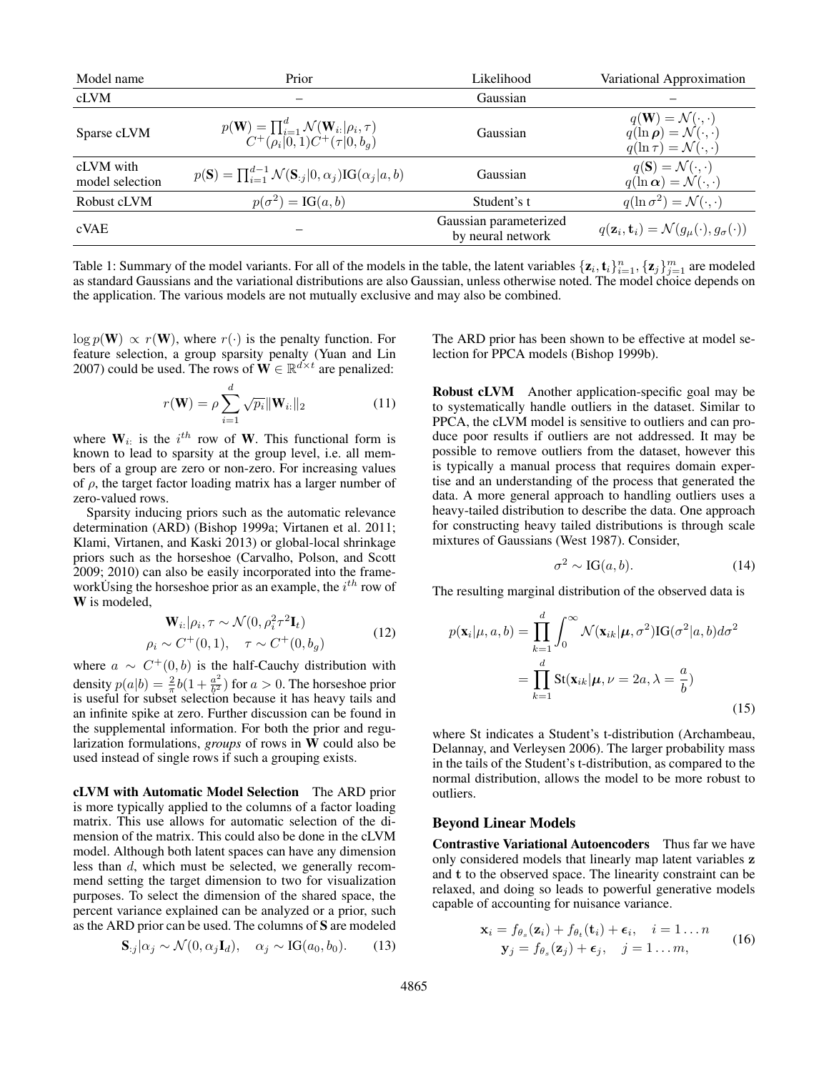| Model name                   | Prior                                                                                                                              | Likelihood                                  | Variational Approximation                                                                                                             |
|------------------------------|------------------------------------------------------------------------------------------------------------------------------------|---------------------------------------------|---------------------------------------------------------------------------------------------------------------------------------------|
| cLVM                         |                                                                                                                                    | Gaussian                                    |                                                                                                                                       |
| Sparse cLVM                  | $p(\mathbf{W}) = \prod_{i=1}^{d} \mathcal{N}(\mathbf{W}_{i:}   \rho_{i}, \tau)$<br>$C^{+}(\rho_{i}   0, 1) C^{+}(\tau   0, b_{q})$ | Gaussian                                    | $q(\mathbf{W}) = \mathcal{N}(\cdot, \cdot)$<br>$q(\ln \rho) = \mathcal{N}(\cdot, \cdot)$<br>$q(\ln \tau) = \mathcal{N}(\cdot, \cdot)$ |
| cLVM with<br>model selection | $p(\mathbf{S}) = \prod_{i=1}^{d-1} \mathcal{N}(\mathbf{S}_{:i} 0,\alpha_i) \text{IG}(\alpha_i a,b)$                                | Gaussian                                    | $q(\mathbf{S}) = \mathcal{N}(\cdot, \cdot)$<br>$q(\ln \alpha) = \mathcal{N}(\cdot, \cdot)$                                            |
| Robust cLVM                  | $p(\sigma^2) = \text{IG}(a, b)$                                                                                                    | Student's t                                 | $q(\ln \sigma^2) = \mathcal{N}(\cdot, \cdot)$                                                                                         |
| cVAE                         |                                                                                                                                    | Gaussian parameterized<br>by neural network | $q(\mathbf{z}_i, \mathbf{t}_i) = \mathcal{N}(g_{\mu}(\cdot), g_{\sigma}(\cdot))$                                                      |

Table 1: Summary of the model variants. For all of the models in the table, the latent variables  $\{z_i, t_i\}_{i=1}^n, \{z_j\}_{j=1}^m$  are modeled as standard Gaussians and the variational distributions are also Gaussian, unless otherwise noted. The model choice depends on the application. The various models are not mutually exclusive and may also be combined.

 $\log p(\mathbf{W}) \propto r(\mathbf{W})$ , where  $r(\cdot)$  is the penalty function. For feature selection, a group sparsity penalty (Yuan and Lin 2007) could be used. The rows of  $\mathbf{W} \in \mathbb{R}^{d \times t}$  are penalized:

$$
r(\mathbf{W}) = \rho \sum_{i=1}^{d} \sqrt{p_i} \|\mathbf{W}_{i:}\|_2
$$
 (11)

where  $W_{i}$  is the  $i^{th}$  row of W. This functional form is known to lead to sparsity at the group level, i.e. all members of a group are zero or non-zero. For increasing values of  $\rho$ , the target factor loading matrix has a larger number of zero-valued rows.

Sparsity inducing priors such as the automatic relevance determination (ARD) (Bishop 1999a; Virtanen et al. 2011; Klami, Virtanen, and Kaski 2013) or global-local shrinkage priors such as the horseshoe (Carvalho, Polson, and Scott 2009; 2010) can also be easily incorporated into the frameworkUsing the horseshoe prior as an example, the  $i^{th}$  row of W is modeled,

$$
\mathbf{W}_{i:}|\rho_{i},\tau \sim \mathcal{N}(0,\rho_{i}^{2}\tau^{2}\mathbf{I}_{t})
$$
  
\n
$$
\rho_{i} \sim C^{+}(0,1), \quad \tau \sim C^{+}(0,b_{g})
$$
\n(12)

where  $a \sim C^+(0, b)$  is the half-Cauchy distribution with density  $p(a|b) = \frac{2}{\pi}b(1 + \frac{a^2}{b^2})$  $\frac{a^2}{b^2}$ ) for  $a > 0$ . The horseshoe prior is useful for subset selection because it has heavy tails and an infinite spike at zero. Further discussion can be found in the supplemental information. For both the prior and regularization formulations, *groups* of rows in W could also be used instead of single rows if such a grouping exists.

cLVM with Automatic Model Selection The ARD prior is more typically applied to the columns of a factor loading matrix. This use allows for automatic selection of the dimension of the matrix. This could also be done in the cLVM model. Although both latent spaces can have any dimension less than d, which must be selected, we generally recommend setting the target dimension to two for visualization purposes. To select the dimension of the shared space, the percent variance explained can be analyzed or a prior, such as the ARD prior can be used. The columns of S are modeled

$$
\mathbf{S}_{:j}|\alpha_j \sim \mathcal{N}(0, \alpha_j \mathbf{I}_d), \quad \alpha_j \sim \text{IG}(a_0, b_0). \tag{13}
$$

The ARD prior has been shown to be effective at model selection for PPCA models (Bishop 1999b).

Robust cLVM Another application-specific goal may be to systematically handle outliers in the dataset. Similar to PPCA, the cLVM model is sensitive to outliers and can produce poor results if outliers are not addressed. It may be possible to remove outliers from the dataset, however this is typically a manual process that requires domain expertise and an understanding of the process that generated the data. A more general approach to handling outliers uses a heavy-tailed distribution to describe the data. One approach for constructing heavy tailed distributions is through scale mixtures of Gaussians (West 1987). Consider,

$$
\sigma^2 \sim \text{IG}(a, b). \tag{14}
$$

The resulting marginal distribution of the observed data is

$$
p(\mathbf{x}_i|\mu, a, b) = \prod_{k=1}^d \int_0^\infty \mathcal{N}(\mathbf{x}_{ik}|\mu, \sigma^2) \text{IG}(\sigma^2|a, b) d\sigma^2
$$

$$
= \prod_{k=1}^d \text{St}(\mathbf{x}_{ik}|\mu, \nu = 2a, \lambda = \frac{a}{b})
$$
(15)

where St indicates a Student's t-distribution (Archambeau, Delannay, and Verleysen 2006). The larger probability mass in the tails of the Student's t-distribution, as compared to the normal distribution, allows the model to be more robust to outliers.

#### Beyond Linear Models

Contrastive Variational Autoencoders Thus far we have only considered models that linearly map latent variables z and t to the observed space. The linearity constraint can be relaxed, and doing so leads to powerful generative models capable of accounting for nuisance variance.

$$
\mathbf{x}_{i} = f_{\theta_{s}}(\mathbf{z}_{i}) + f_{\theta_{t}}(\mathbf{t}_{i}) + \boldsymbol{\epsilon}_{i}, \quad i = 1...n
$$
  

$$
\mathbf{y}_{j} = f_{\theta_{s}}(\mathbf{z}_{j}) + \boldsymbol{\epsilon}_{j}, \quad j = 1...m,
$$
 (16)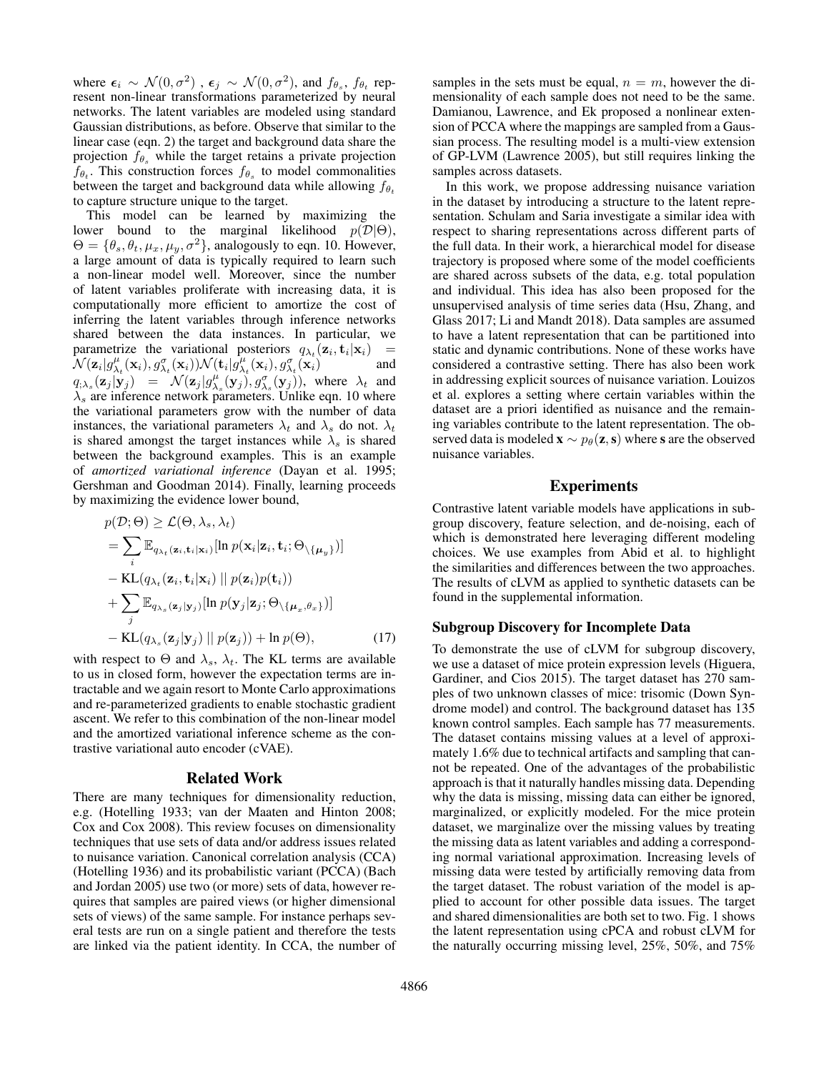where  $\epsilon_i \sim \mathcal{N}(0, \sigma^2)$  ,  $\epsilon_j \sim \mathcal{N}(0, \sigma^2)$ , and  $f_{\theta_s}$ ,  $f_{\theta_t}$  represent non-linear transformations parameterized by neural networks. The latent variables are modeled using standard Gaussian distributions, as before. Observe that similar to the linear case (eqn. 2) the target and background data share the projection  $f_{\theta_s}$  while the target retains a private projection  $f_{\theta_t}$ . This construction forces  $f_{\theta_s}$  to model commonalities between the target and background data while allowing  $f_{\theta_t}$ to capture structure unique to the target.

This model can be learned by maximizing the lower bound to the marginal likelihood  $p(\mathcal{D}|\Theta)$ ,  $\Theta = \{\theta_s, \theta_t, \mu_x, \mu_y, \sigma^2\}$ , analogously to eqn. 10. However, a large amount of data is typically required to learn such a non-linear model well. Moreover, since the number of latent variables proliferate with increasing data, it is computationally more efficient to amortize the cost of inferring the latent variables through inference networks shared between the data instances. In particular, we parametrize the variational posteriors  $q_{\lambda_t}(\mathbf{z}_i, \mathbf{t}_i | \mathbf{x}_i)$  =  $\mathcal{N}(\mathbf{z}_i|g_{\lambda_t}^{\mu}(\mathbf{x}_i), g_{\lambda_t}^{\sigma}(\mathbf{x}_i))\mathcal{N}(\mathbf{t}_i|g_{\lambda_t}^{\mu}(\mathbf{x}_i), g_{\lambda_t}^{\sigma}(\mathbf{x}_i))$  and  $q_{;\lambda_s}(\mathbf{z}_j | \mathbf{y}_j) = \mathcal{N}(\mathbf{z}_j | g_{\lambda_s}^{\mu}(\mathbf{y}_j), g_{\lambda_s}^{\sigma}(\mathbf{y}_j)),$  where  $\lambda_t$  and  $\lambda_s$  are inference network parameters. Unlike eqn. 10 where the variational parameters grow with the number of data instances, the variational parameters  $\lambda_t$  and  $\lambda_s$  do not.  $\lambda_t$ is shared amongst the target instances while  $\lambda_s$  is shared between the background examples. This is an example of *amortized variational inference* (Dayan et al. 1995; Gershman and Goodman 2014). Finally, learning proceeds by maximizing the evidence lower bound,

$$
p(\mathcal{D}; \Theta) \geq \mathcal{L}(\Theta, \lambda_s, \lambda_t)
$$
  
\n
$$
= \sum_i \mathbb{E}_{q_{\lambda_t}(\mathbf{z}_i, \mathbf{t}_i | \mathbf{x}_i)} [\ln p(\mathbf{x}_i | \mathbf{z}_i, \mathbf{t}_i; \Theta_{\setminus \{\mu_y\}})]
$$
  
\n
$$
- KL(q_{\lambda_t}(\mathbf{z}_i, \mathbf{t}_i | \mathbf{x}_i) || p(\mathbf{z}_i) p(\mathbf{t}_i))
$$
  
\n
$$
+ \sum_j \mathbb{E}_{q_{\lambda_s}(\mathbf{z}_j | \mathbf{y}_j)} [\ln p(\mathbf{y}_j | \mathbf{z}_j; \Theta_{\setminus \{\mu_x, \theta_x\}})]
$$
  
\n
$$
- KL(q_{\lambda_s}(\mathbf{z}_j | \mathbf{y}_j) || p(\mathbf{z}_j)) + \ln p(\Theta), \qquad (17)
$$

with respect to  $\Theta$  and  $\lambda_s$ ,  $\lambda_t$ . The KL terms are available to us in closed form, however the expectation terms are intractable and we again resort to Monte Carlo approximations and re-parameterized gradients to enable stochastic gradient ascent. We refer to this combination of the non-linear model and the amortized variational inference scheme as the contrastive variational auto encoder (cVAE).

#### Related Work

There are many techniques for dimensionality reduction, e.g. (Hotelling 1933; van der Maaten and Hinton 2008; Cox and Cox 2008). This review focuses on dimensionality techniques that use sets of data and/or address issues related to nuisance variation. Canonical correlation analysis (CCA) (Hotelling 1936) and its probabilistic variant (PCCA) (Bach and Jordan 2005) use two (or more) sets of data, however requires that samples are paired views (or higher dimensional sets of views) of the same sample. For instance perhaps several tests are run on a single patient and therefore the tests are linked via the patient identity. In CCA, the number of samples in the sets must be equal,  $n = m$ , however the dimensionality of each sample does not need to be the same. Damianou, Lawrence, and Ek proposed a nonlinear extension of PCCA where the mappings are sampled from a Gaussian process. The resulting model is a multi-view extension of GP-LVM (Lawrence 2005), but still requires linking the samples across datasets.

In this work, we propose addressing nuisance variation in the dataset by introducing a structure to the latent representation. Schulam and Saria investigate a similar idea with respect to sharing representations across different parts of the full data. In their work, a hierarchical model for disease trajectory is proposed where some of the model coefficients are shared across subsets of the data, e.g. total population and individual. This idea has also been proposed for the unsupervised analysis of time series data (Hsu, Zhang, and Glass 2017; Li and Mandt 2018). Data samples are assumed to have a latent representation that can be partitioned into static and dynamic contributions. None of these works have considered a contrastive setting. There has also been work in addressing explicit sources of nuisance variation. Louizos et al. explores a setting where certain variables within the dataset are a priori identified as nuisance and the remaining variables contribute to the latent representation. The observed data is modeled  $\mathbf{x} \sim p_{\theta}(\mathbf{z}, \mathbf{s})$  where s are the observed nuisance variables.

# Experiments

Contrastive latent variable models have applications in subgroup discovery, feature selection, and de-noising, each of which is demonstrated here leveraging different modeling choices. We use examples from Abid et al. to highlight the similarities and differences between the two approaches. The results of cLVM as applied to synthetic datasets can be found in the supplemental information.

### Subgroup Discovery for Incomplete Data

To demonstrate the use of cLVM for subgroup discovery, we use a dataset of mice protein expression levels (Higuera, Gardiner, and Cios 2015). The target dataset has 270 samples of two unknown classes of mice: trisomic (Down Syndrome model) and control. The background dataset has 135 known control samples. Each sample has 77 measurements. The dataset contains missing values at a level of approximately 1.6% due to technical artifacts and sampling that cannot be repeated. One of the advantages of the probabilistic approach is that it naturally handles missing data. Depending why the data is missing, missing data can either be ignored, marginalized, or explicitly modeled. For the mice protein dataset, we marginalize over the missing values by treating the missing data as latent variables and adding a corresponding normal variational approximation. Increasing levels of missing data were tested by artificially removing data from the target dataset. The robust variation of the model is applied to account for other possible data issues. The target and shared dimensionalities are both set to two. Fig. 1 shows the latent representation using cPCA and robust cLVM for the naturally occurring missing level, 25%, 50%, and 75%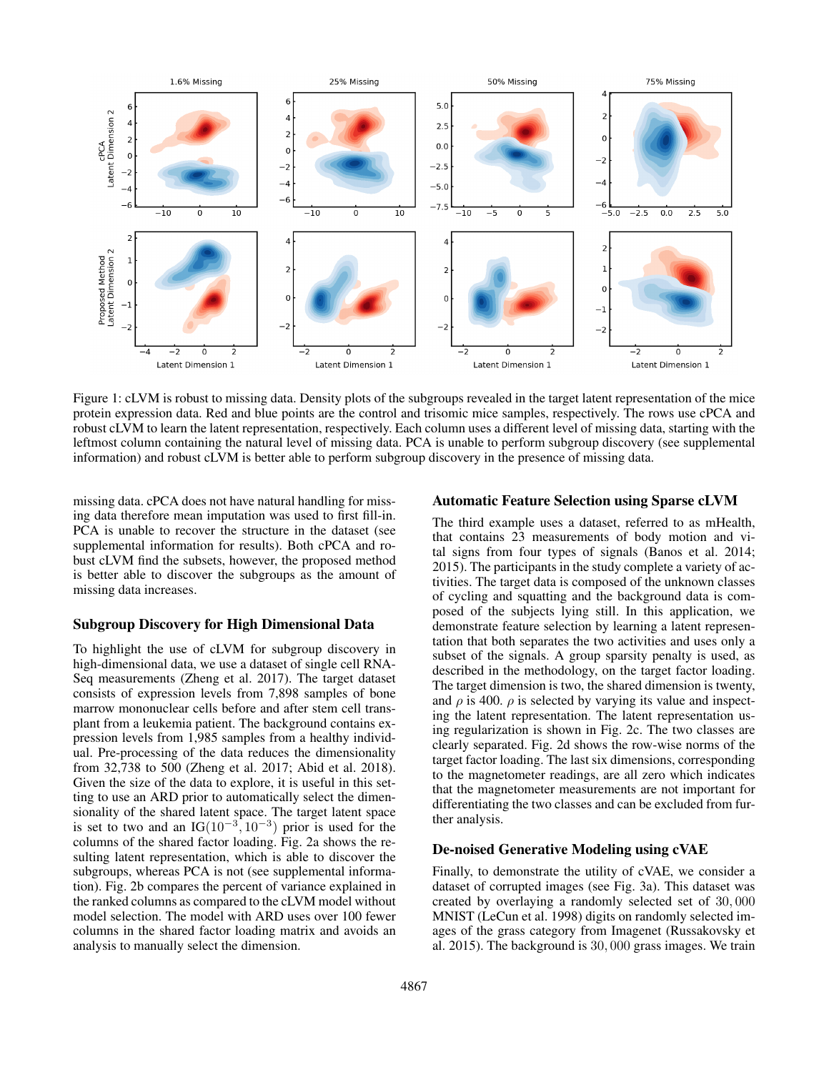

Figure 1: cLVM is robust to missing data. Density plots of the subgroups revealed in the target latent representation of the mice protein expression data. Red and blue points are the control and trisomic mice samples, respectively. The rows use cPCA and robust cLVM to learn the latent representation, respectively. Each column uses a different level of missing data, starting with the leftmost column containing the natural level of missing data. PCA is unable to perform subgroup discovery (see supplemental information) and robust cLVM is better able to perform subgroup discovery in the presence of missing data.

missing data. cPCA does not have natural handling for missing data therefore mean imputation was used to first fill-in. PCA is unable to recover the structure in the dataset (see supplemental information for results). Both cPCA and robust cLVM find the subsets, however, the proposed method is better able to discover the subgroups as the amount of missing data increases.

### Subgroup Discovery for High Dimensional Data

To highlight the use of cLVM for subgroup discovery in high-dimensional data, we use a dataset of single cell RNA-Seq measurements (Zheng et al. 2017). The target dataset consists of expression levels from 7,898 samples of bone marrow mononuclear cells before and after stem cell transplant from a leukemia patient. The background contains expression levels from 1,985 samples from a healthy individual. Pre-processing of the data reduces the dimensionality from 32,738 to 500 (Zheng et al. 2017; Abid et al. 2018). Given the size of the data to explore, it is useful in this setting to use an ARD prior to automatically select the dimensionality of the shared latent space. The target latent space is set to two and an IG( $10^{-3}$ ,  $10^{-3}$ ) prior is used for the columns of the shared factor loading. Fig. 2a shows the resulting latent representation, which is able to discover the subgroups, whereas PCA is not (see supplemental information). Fig. 2b compares the percent of variance explained in the ranked columns as compared to the cLVM model without model selection. The model with ARD uses over 100 fewer columns in the shared factor loading matrix and avoids an analysis to manually select the dimension.

### Automatic Feature Selection using Sparse cLVM

The third example uses a dataset, referred to as mHealth, that contains 23 measurements of body motion and vital signs from four types of signals (Banos et al. 2014; 2015). The participants in the study complete a variety of activities. The target data is composed of the unknown classes of cycling and squatting and the background data is composed of the subjects lying still. In this application, we demonstrate feature selection by learning a latent representation that both separates the two activities and uses only a subset of the signals. A group sparsity penalty is used, as described in the methodology, on the target factor loading. The target dimension is two, the shared dimension is twenty, and  $\rho$  is 400.  $\rho$  is selected by varying its value and inspecting the latent representation. The latent representation using regularization is shown in Fig. 2c. The two classes are clearly separated. Fig. 2d shows the row-wise norms of the target factor loading. The last six dimensions, corresponding to the magnetometer readings, are all zero which indicates that the magnetometer measurements are not important for differentiating the two classes and can be excluded from further analysis.

### De-noised Generative Modeling using cVAE

Finally, to demonstrate the utility of cVAE, we consider a dataset of corrupted images (see Fig. 3a). This dataset was created by overlaying a randomly selected set of 30, 000 MNIST (LeCun et al. 1998) digits on randomly selected images of the grass category from Imagenet (Russakovsky et al. 2015). The background is 30, 000 grass images. We train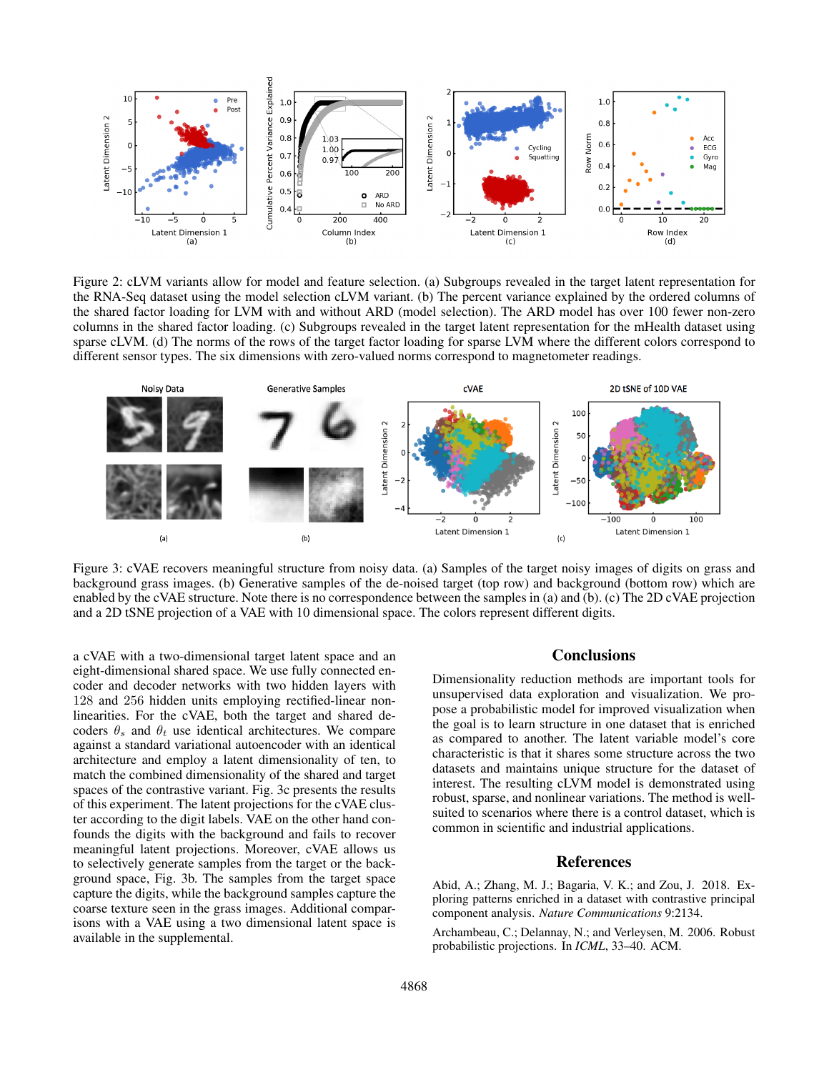

Figure 2: cLVM variants allow for model and feature selection. (a) Subgroups revealed in the target latent representation for the RNA-Seq dataset using the model selection cLVM variant. (b) The percent variance explained by the ordered columns of the shared factor loading for LVM with and without ARD (model selection). The ARD model has over 100 fewer non-zero columns in the shared factor loading. (c) Subgroups revealed in the target latent representation for the mHealth dataset using sparse cLVM. (d) The norms of the rows of the target factor loading for sparse LVM where the different colors correspond to different sensor types. The six dimensions with zero-valued norms correspond to magnetometer readings.



Figure 3: cVAE recovers meaningful structure from noisy data. (a) Samples of the target noisy images of digits on grass and background grass images. (b) Generative samples of the de-noised target (top row) and background (bottom row) which are enabled by the cVAE structure. Note there is no correspondence between the samples in (a) and (b). (c) The 2D cVAE projection and a 2D tSNE projection of a VAE with 10 dimensional space. The colors represent different digits.

a cVAE with a two-dimensional target latent space and an eight-dimensional shared space. We use fully connected encoder and decoder networks with two hidden layers with 128 and 256 hidden units employing rectified-linear nonlinearities. For the cVAE, both the target and shared decoders  $\theta_s$  and  $\theta_t$  use identical architectures. We compare against a standard variational autoencoder with an identical architecture and employ a latent dimensionality of ten, to match the combined dimensionality of the shared and target spaces of the contrastive variant. Fig. 3c presents the results of this experiment. The latent projections for the cVAE cluster according to the digit labels. VAE on the other hand confounds the digits with the background and fails to recover meaningful latent projections. Moreover, cVAE allows us to selectively generate samples from the target or the background space, Fig. 3b. The samples from the target space capture the digits, while the background samples capture the coarse texture seen in the grass images. Additional comparisons with a VAE using a two dimensional latent space is available in the supplemental.

## **Conclusions**

Dimensionality reduction methods are important tools for unsupervised data exploration and visualization. We propose a probabilistic model for improved visualization when the goal is to learn structure in one dataset that is enriched as compared to another. The latent variable model's core characteristic is that it shares some structure across the two datasets and maintains unique structure for the dataset of interest. The resulting cLVM model is demonstrated using robust, sparse, and nonlinear variations. The method is wellsuited to scenarios where there is a control dataset, which is common in scientific and industrial applications.

### References

Abid, A.; Zhang, M. J.; Bagaria, V. K.; and Zou, J. 2018. Exploring patterns enriched in a dataset with contrastive principal component analysis. *Nature Communications* 9:2134.

Archambeau, C.; Delannay, N.; and Verleysen, M. 2006. Robust probabilistic projections. In *ICML*, 33–40. ACM.